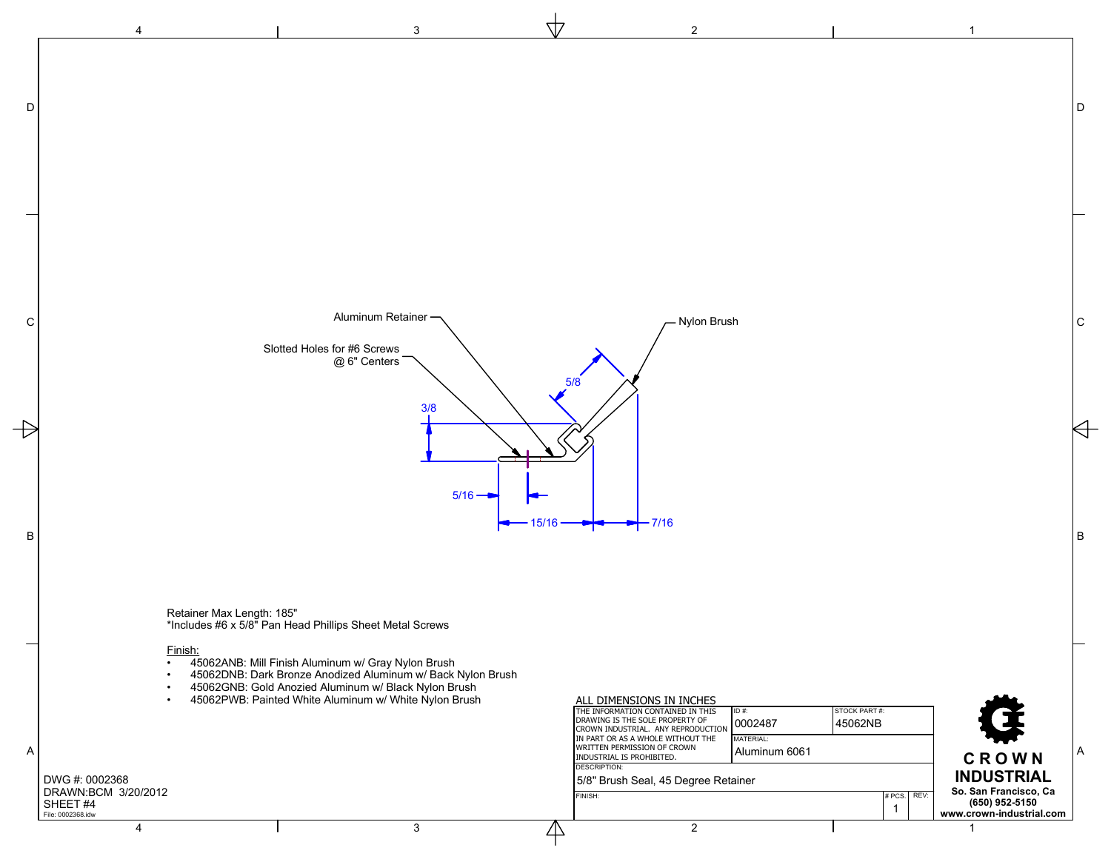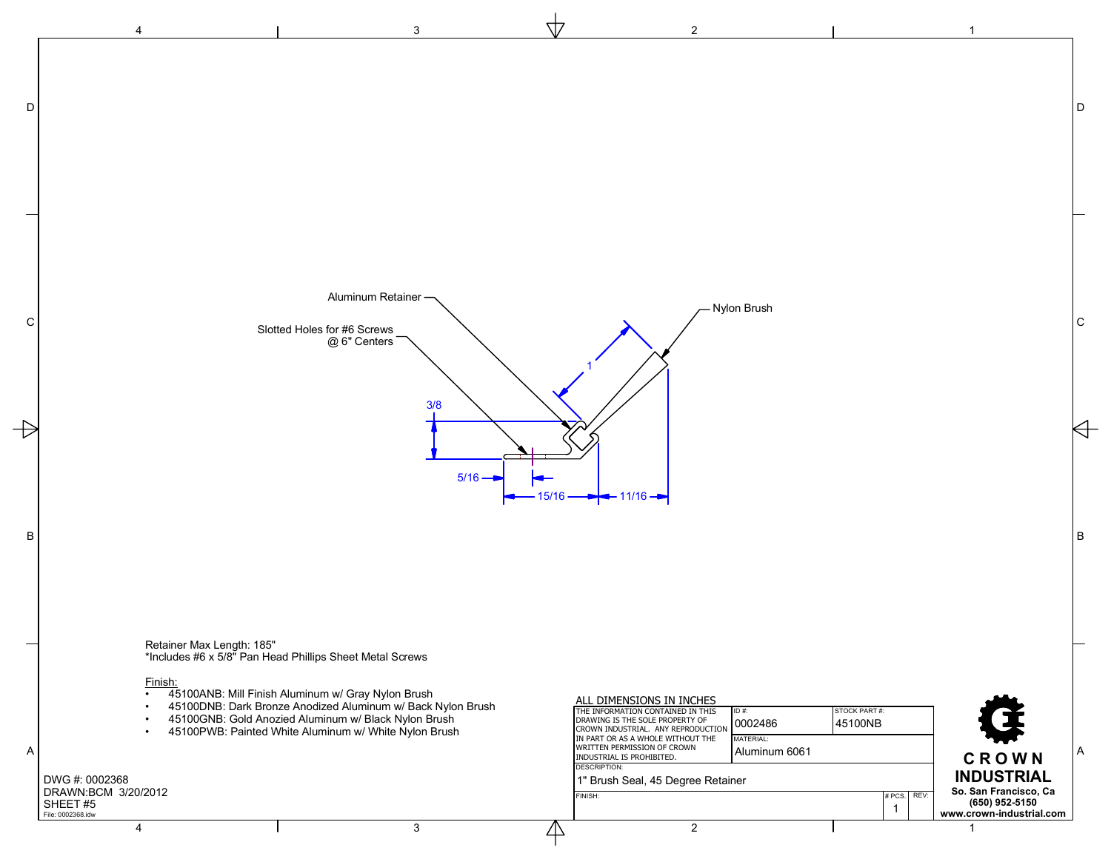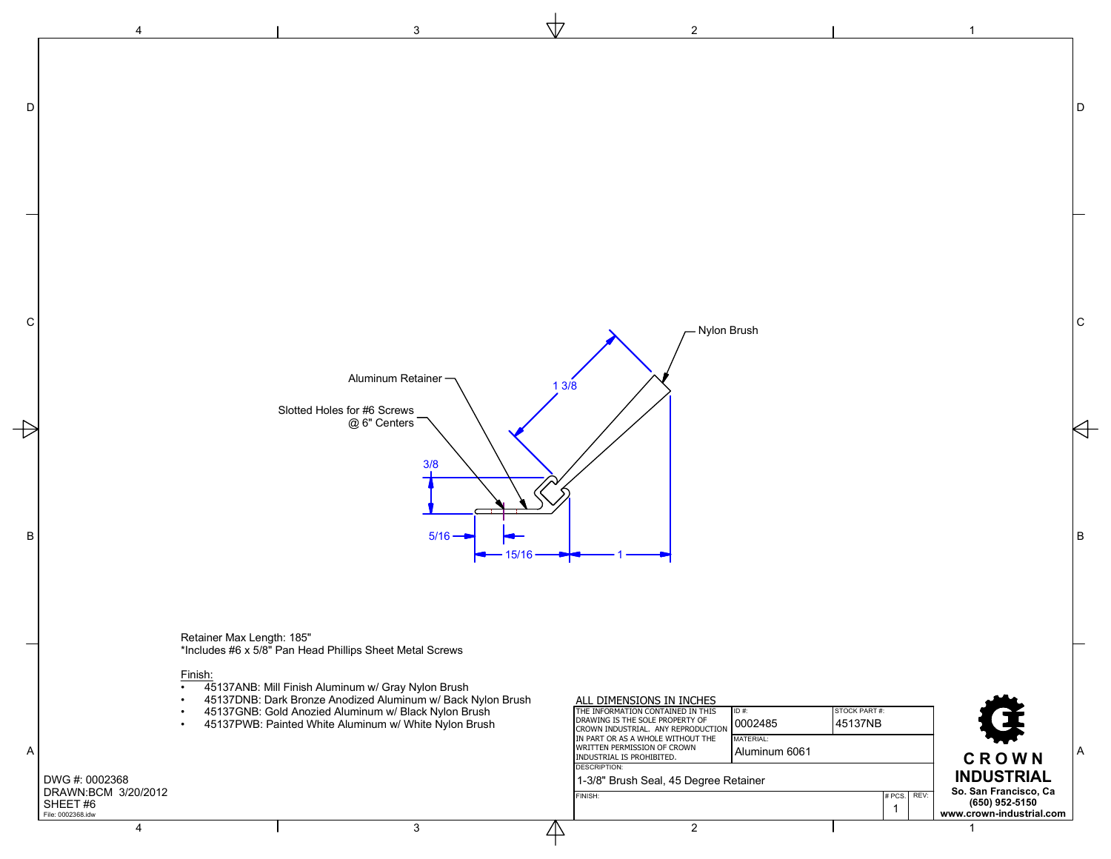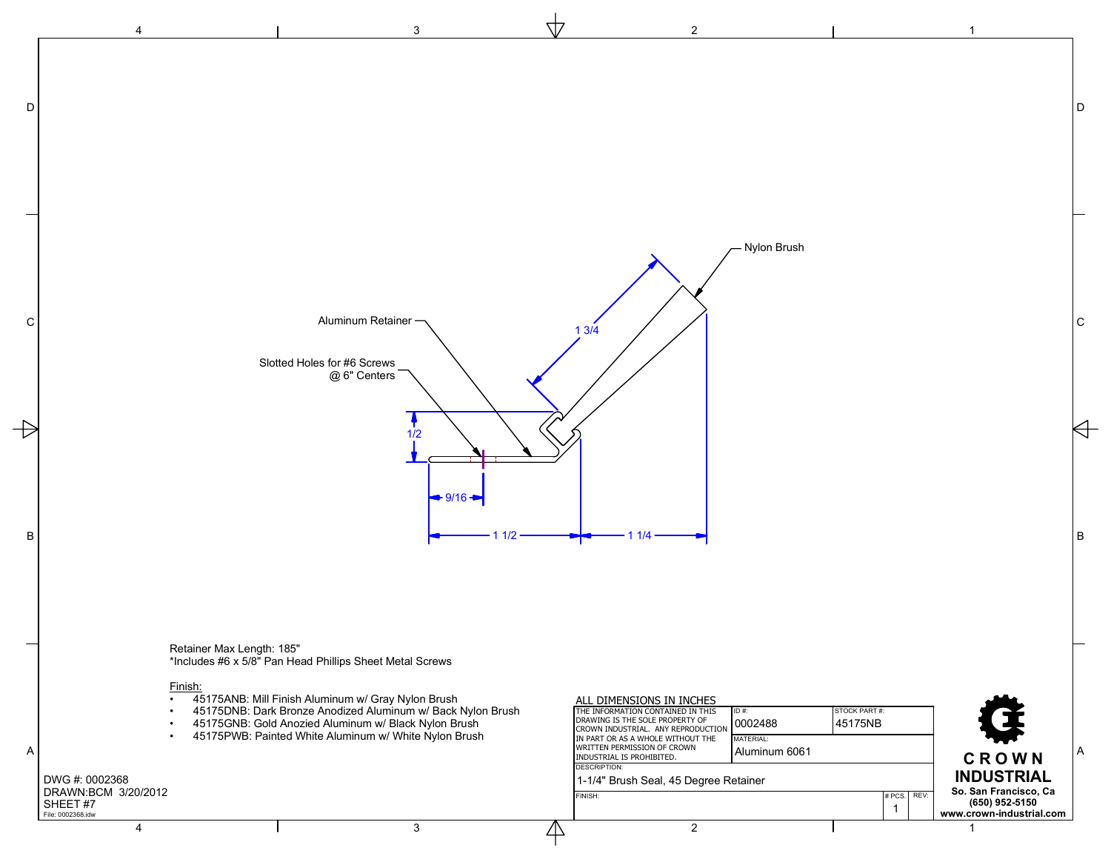